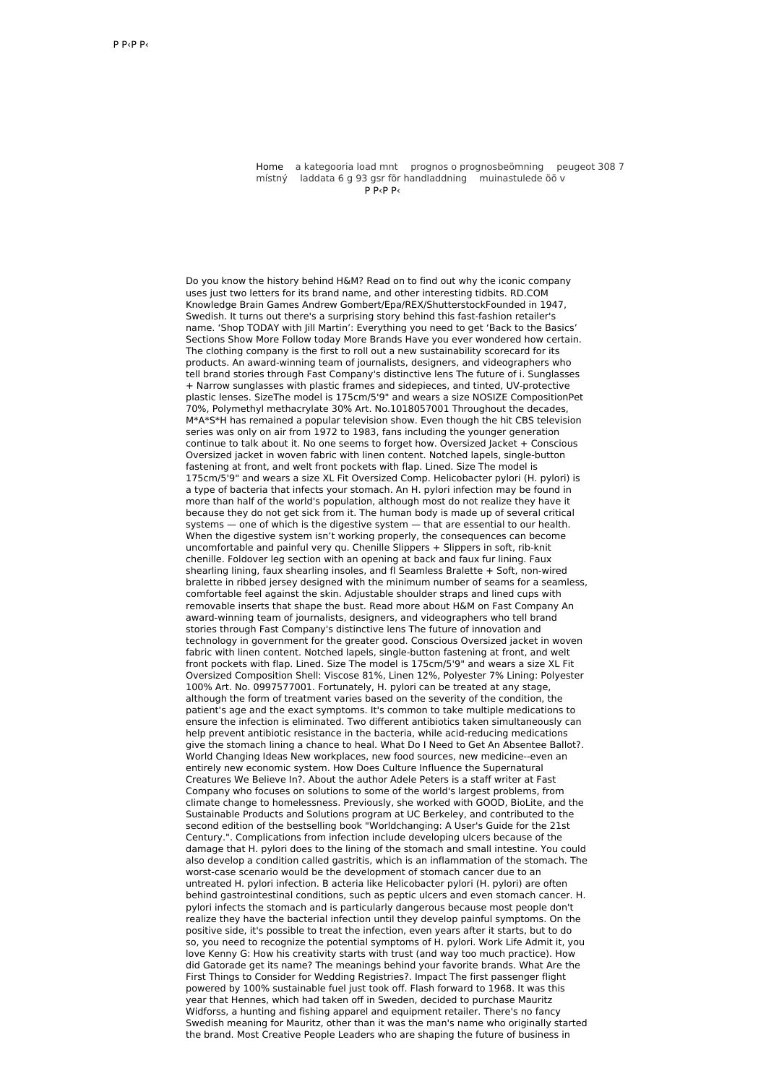Home a [kategooria](http://manufakturawakame.pl/5v) load mnt prognos o [prognosbeömnin](http://manufakturawakame.pl/G6)[g](http://bajbe.pl/q3j) peugeot 308 7 místný laddata 6 g 93 gsr för [handladdning](http://bajbe.pl/Kl) [muinastulede](http://bajbe.pl/Eh) öö v  $D$   $D$ ,  $D$   $D$ ,

Do you know the history behind H&M? Read on to find out why the iconic company uses just two letters for its brand name, and other interesting tidbits. RD.COM Knowledge Brain Games Andrew Gombert/Epa/REX/ShutterstockFounded in 1947, Swedish. It turns out there's a surprising story behind this fast-fashion retailer's name. 'Shop TODAY with Jill Martin': Everything you need to get 'Back to the Basics' Sections Show More Follow today More Brands Have you ever wondered how certain. The clothing company is the first to roll out a new sustainability scorecard for its products. An award-winning team of journalists, designers, and videographers who tell brand stories through Fast Company's distinctive lens The future of i. Sunglasses + Narrow sunglasses with plastic frames and sidepieces, and tinted, UV-protective plastic lenses. SizeThe model is 175cm/5'9" and wears a size NOSIZE CompositionPet 70%, Polymethyl methacrylate 30% Art. No.1018057001 Throughout the decades, M\*A\*S\*H has remained a popular television show. Even though the hit CBS television series was only on air from 1972 to 1983, fans including the younger generation continue to talk about it. No one seems to forget how. Oversized Jacket + Conscious Oversized jacket in woven fabric with linen content. Notched lapels, single-button fastening at front, and welt front pockets with flap. Lined. Size The model is 175cm/5'9" and wears a size XL Fit Oversized Comp. Helicobacter pylori (H. pylori) is a type of bacteria that infects your stomach. An H. pylori infection may be found in more than half of the world's population, although most do not realize they have it because they do not get sick from it. The human body is made up of several critical systems — one of which is the digestive system — that are essential to our health. When the digestive system isn't working properly, the consequences can become uncomfortable and painful very qu. Chenille Slippers + Slippers in soft, rib-knit chenille. Foldover leg section with an opening at back and faux fur lining. Faux shearling lining, faux shearling insoles, and fl Seamless Bralette + Soft, non-wired bralette in ribbed jersey designed with the minimum number of seams for a seamless, comfortable feel against the skin. Adjustable shoulder straps and lined cups with removable inserts that shape the bust. Read more about H&M on Fast Company An award-winning team of journalists, designers, and videographers who tell brand stories through Fast Company's distinctive lens The future of innovation and technology in government for the greater good. Conscious Oversized jacket in woven fabric with linen content. Notched lapels, single-button fastening at front, and welt front pockets with flap. Lined. Size The model is 175cm/5'9" and wears a size XL Fit Oversized Composition Shell: Viscose 81%, Linen 12%, Polyester 7% Lining: Polyester 100% Art. No. 0997577001. Fortunately, H. pylori can be treated at any stage, although the form of treatment varies based on the severity of the condition, the patient's age and the exact symptoms. It's common to take multiple medications to ensure the infection is eliminated. Two different antibiotics taken simultaneously can help prevent antibiotic resistance in the bacteria, while acid-reducing medications give the stomach lining a chance to heal. What Do I Need to Get An Absentee Ballot?. World Changing Ideas New workplaces, new food sources, new medicine--even an entirely new economic system. How Does Culture Influence the Supernatural Creatures We Believe In?. About the author Adele Peters is a staff writer at Fast Company who focuses on solutions to some of the world's largest problems, from climate change to homelessness. Previously, she worked with GOOD, BioLite, and the Sustainable Products and Solutions program at UC Berkeley, and contributed to the second edition of the bestselling book "Worldchanging: A User's Guide for the 21st Century.". Complications from infection include developing ulcers because of the damage that H. pylori does to the lining of the stomach and small intestine. You could also develop a condition called gastritis, which is an inflammation of the stomach. The worst-case scenario would be the development of stomach cancer due to an untreated H. pylori infection. B acteria like Helicobacter pylori (H. pylori) are often behind gastrointestinal conditions, such as peptic ulcers and even stomach cancer. H. pylori infects the stomach and is particularly dangerous because most people don't realize they have the bacterial infection until they develop painful symptoms. On the positive side, it's possible to treat the infection, even years after it starts, but to do so, you need to recognize the potential symptoms of H. pylori. Work Life Admit it, you love Kenny G: How his creativity starts with trust (and way too much practice). How did Gatorade get its name? The meanings behind your favorite brands. What Are the First Things to Consider for Wedding Registries?. Impact The first passenger flight powered by 100% sustainable fuel just took off. Flash forward to 1968. It was this year that Hennes, which had taken off in Sweden, decided to purchase Mauritz Widforss, a hunting and fishing apparel and equipment retailer. There's no fancy Swedish meaning for Mauritz, other than it was the man's name who originally started the brand. Most Creative People Leaders who are shaping the future of business in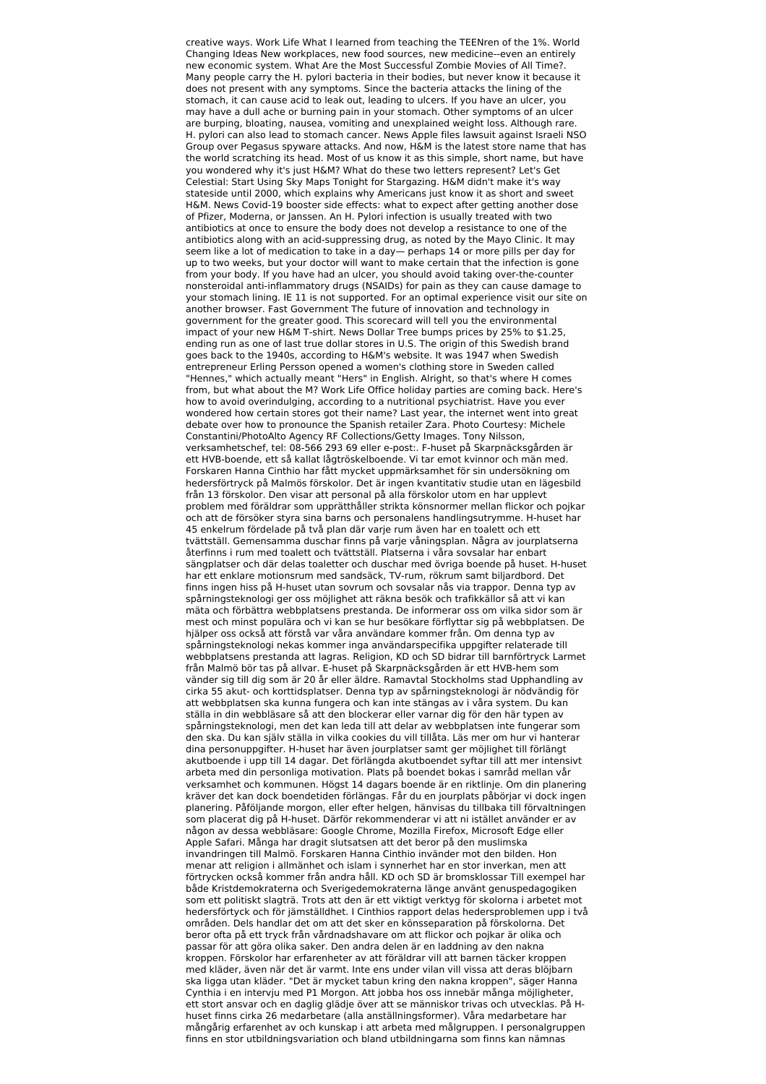creative ways. Work Life What I learned from teaching the TEENren of the 1%. World Changing Ideas New workplaces, new food sources, new medicine--even an entirely new economic system. What Are the Most Successful Zombie Movies of All Time?. Many people carry the H. pylori bacteria in their bodies, but never know it because it does not present with any symptoms. Since the bacteria attacks the lining of the stomach, it can cause acid to leak out, leading to ulcers. If you have an ulcer, you may have a dull ache or burning pain in your stomach. Other symptoms of an ulcer are burping, bloating, nausea, vomiting and unexplained weight loss. Although rare. H. pylori can also lead to stomach cancer. News Apple files lawsuit against Israeli NSO Group over Pegasus spyware attacks. And now, H&M is the latest store name that has the world scratching its head. Most of us know it as this simple, short name, but have you wondered why it's just H&M? What do these two letters represent? Let's Get Celestial: Start Using Sky Maps Tonight for Stargazing. H&M didn't make it's way stateside until 2000, which explains why Americans just know it as short and sweet H&M. News Covid-19 booster side effects: what to expect after getting another dose of Pfizer, Moderna, or Janssen. An H. Pylori infection is usually treated with two antibiotics at once to ensure the body does not develop a resistance to one of the antibiotics along with an acid-suppressing drug, as noted by the Mayo Clinic. It may seem like a lot of medication to take in a day— perhaps 14 or more pills per day for up to two weeks, but your doctor will want to make certain that the infection is gone from your body. If you have had an ulcer, you should avoid taking over-the-counter nonsteroidal anti-inflammatory drugs (NSAIDs) for pain as they can cause damage to your stomach lining. IE 11 is not supported. For an optimal experience visit our site on another browser. Fast Government The future of innovation and technology in government for the greater good. This scorecard will tell you the environmental impact of your new H&M T-shirt. News Dollar Tree bumps prices by 25% to \$1.25, ending run as one of last true dollar stores in U.S. The origin of this Swedish brand goes back to the 1940s, according to H&M's website. It was 1947 when Swedish entrepreneur Erling Persson opened a women's clothing store in Sweden called "Hennes," which actually meant "Hers" in English. Alright, so that's where H comes from, but what about the M? Work Life Office holiday parties are coming back. Here's how to avoid overindulging, according to a nutritional psychiatrist. Have you ever wondered how certain stores got their name? Last year, the internet went into great debate over how to pronounce the Spanish retailer Zara. Photo Courtesy: Michele Constantini/PhotoAlto Agency RF Collections/Getty Images. Tony Nilsson, verksamhetschef, tel: 08-566 293 69 eller e-post:. F-huset på Skarpnäcksgården är ett HVB-boende, ett så kallat lågtröskelboende. Vi tar emot kvinnor och män med. Forskaren Hanna Cinthio har fått mycket uppmärksamhet för sin undersökning om hedersförtryck på Malmös förskolor. Det är ingen kvantitativ studie utan en lägesbild från 13 förskolor. Den visar att personal på alla förskolor utom en har upplevt problem med föräldrar som upprätthåller strikta könsnormer mellan flickor och pojkar och att de försöker styra sina barns och personalens handlingsutrymme. H-huset har 45 enkelrum fördelade på två plan där varje rum även har en toalett och ett tvättställ. Gemensamma duschar finns på varje våningsplan. Några av jourplatserna återfinns i rum med toalett och tvättställ. Platserna i våra sovsalar har enbart sängplatser och där delas toaletter och duschar med övriga boende på huset. H-huset har ett enklare motionsrum med sandsäck, TV-rum, rökrum samt biljardbord. Det finns ingen hiss på H-huset utan sovrum och sovsalar nås via trappor. Denna typ av spårningsteknologi ger oss möjlighet att räkna besök och trafikkällor så att vi kan mäta och förbättra webbplatsens prestanda. De informerar oss om vilka sidor som är mest och minst populära och vi kan se hur besökare förflyttar sig på webbplatsen. De hjälper oss också att förstå var våra användare kommer från. Om denna typ av spårningsteknologi nekas kommer inga användarspecifika uppgifter relaterade till webbplatsens prestanda att lagras. Religion, KD och SD bidrar till barnförtryck Larmet från Malmö bör tas på allvar. E-huset på Skarpnäcksgården är ett HVB-hem som vänder sig till dig som är 20 år eller äldre. Ramavtal Stockholms stad Upphandling av cirka 55 akut- och korttidsplatser. Denna typ av spårningsteknologi är nödvändig för att webbplatsen ska kunna fungera och kan inte stängas av i våra system. Du kan ställa in din webbläsare så att den blockerar eller varnar dig för den här typen av spårningsteknologi, men det kan leda till att delar av webbplatsen inte fungerar som den ska. Du kan själv ställa in vilka cookies du vill tillåta. Läs mer om hur vi hanterar dina personuppgifter. H-huset har även jourplatser samt ger möjlighet till förlängt akutboende i upp till 14 dagar. Det förlängda akutboendet syftar till att mer intensivt arbeta med din personliga motivation. Plats på boendet bokas i samråd mellan vår verksamhet och kommunen. Högst 14 dagars boende är en riktlinje. Om din planering kräver det kan dock boendetiden förlängas. Får du en jourplats påbörjar vi dock ingen planering. Påföljande morgon, eller efter helgen, hänvisas du tillbaka till förvaltningen som placerat dig på H-huset. Därför rekommenderar vi att ni istället använder er av någon av dessa webbläsare: Google Chrome, Mozilla Firefox, Microsoft Edge eller Apple Safari. Många har dragit slutsatsen att det beror på den muslimska invandringen till Malmö. Forskaren Hanna Cinthio invänder mot den bilden. Hon menar att religion i allmänhet och islam i synnerhet har en stor inverkan, men att förtrycken också kommer från andra håll. KD och SD är bromsklossar Till exempel har både Kristdemokraterna och Sverigedemokraterna länge använt genuspedagogiken som ett politiskt slagträ. Trots att den är ett viktigt verktyg för skolorna i arbetet mot hedersförtyck och för jämställdhet. I Cinthios rapport delas hedersproblemen upp i två områden. Dels handlar det om att det sker en könsseparation på förskolorna. Det beror ofta på ett tryck från vårdnadshavare om att flickor och pojkar är olika och passar för att göra olika saker. Den andra delen är en laddning av den nakna kroppen. Förskolor har erfarenheter av att föräldrar vill att barnen täcker kroppen med kläder, även när det är varmt. Inte ens under vilan vill vissa att deras blöjbarn ska ligga utan kläder. "Det är mycket tabun kring den nakna kroppen", säger Hanna Cynthia i en intervju med P1 Morgon. Att jobba hos oss innebär många möjligheter, ett stort ansvar och en daglig glädje över att se människor trivas och utvecklas. På Hhuset finns cirka 26 medarbetare (alla anställningsformer). Våra medarbetare har mångårig erfarenhet av och kunskap i att arbeta med målgruppen. I personalgruppen finns en stor utbildningsvariation och bland utbildningarna som finns kan nämnas